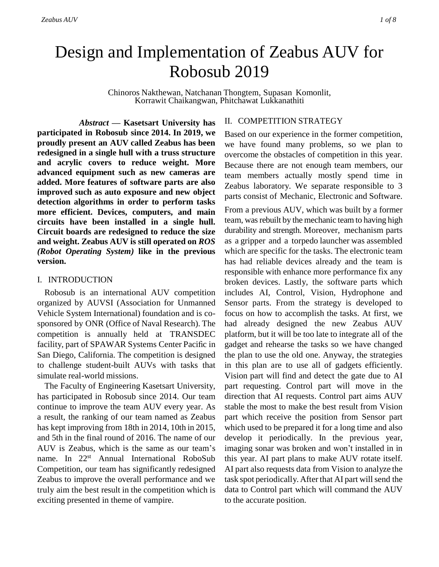# Design and Implementation of Zeabus AUV for Robosub 2019

Chinoros Nakthewan, Natchanan Thongtem, Supasan Komonlit, Korrawit Chaikangwan, Phitchawat Lukkanathiti

*Abstract* **— Kasetsart University has**

**participated in Robosub since 2014. In 2019, we proudly present an AUV called Zeabus has been redesigned in a single hull with a truss structure and acrylic covers to reduce weight. More advanced equipment such as new cameras are added. More features of software parts are also improved such as auto exposure and new object detection algorithms in order to perform tasks more efficient. Devices, computers, and main circuits have been installed in a single hull. Circuit boards are redesigned to reduce the size and weight. Zeabus AUV is still operated on** *ROS (Robot Operating System)* **like in the previous version.**

## I. INTRODUCTION

Robosub is an international AUV competition organized by AUVSI (Association for Unmanned Vehicle System International) foundation and is cosponsored by ONR (Office of Naval Research). The competition is annually held at TRANSDEC facility, part of SPAWAR Systems Center Pacific in San Diego, California. The competition is designed to challenge student-built AUVs with tasks that simulate real-world missions.

The Faculty of Engineering Kasetsart University, has participated in Robosub since 2014. Our team continue to improve the team AUV every year. As a result, the ranking of our team named as Zeabus has kept improving from 18th in 2014, 10th in 2015, and 5th in the final round of 2016. The name of our AUV is Zeabus, which is the same as our team's name. In 22<sup>st</sup> Annual International RoboSub Competition, our team has significantly redesigned Zeabus to improve the overall performance and we truly aim the best result in the competition which is exciting presented in theme of vampire.

## II. COMPETITION STRATEGY

Based on our experience in the former competition, we have found many problems, so we plan to overcome the obstacles of competition in this year. Because there are not enough team members, our team members actually mostly spend time in Zeabus laboratory. We separate responsible to 3 parts consist of Mechanic, Electronic and Software.

From a previous AUV, which was built by a former team, was rebuilt by the mechanic team to having high durability and strength. Moreover, mechanism parts as a gripper and a torpedo launcher was assembled which are specific for the tasks. The electronic team has had reliable devices already and the team is responsible with enhance more performance fix any broken devices. Lastly, the software parts which includes AI, Control, Vision, Hydrophone and Sensor parts. From the strategy is developed to focus on how to accomplish the tasks. At first, we had already designed the new Zeabus AUV platform, but it will be too late to integrate all of the gadget and rehearse the tasks so we have changed the plan to use the old one. Anyway, the strategies in this plan are to use all of gadgets efficiently. Vision part will find and detect the gate due to AI part requesting. Control part will move in the direction that AI requests. Control part aims AUV stable the most to make the best result from Vision part which receive the position from Sensor part which used to be prepared it for a long time and also develop it periodically. In the previous year, imaging sonar was broken and won't installed in in this year. AI part plans to make AUV rotate itself. AI part also requests data from Vision to analyze the task spot periodically. After that AI part will send the data to Control part which will command the AUV to the accurate position.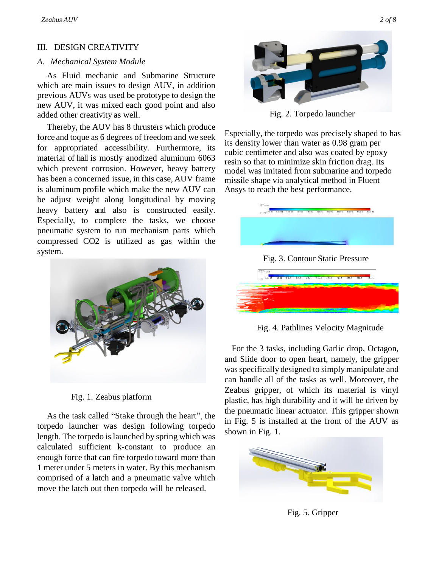## III. DESIGN CREATIVITY

#### *A. Mechanical System Module*

As Fluid mechanic and Submarine Structure which are main issues to design AUV, in addition previous AUVs was used be prototype to design the new AUV, it was mixed each good point and also added other creativity as well*.*

Thereby, the AUV has 8 thrusters which produce force and toque as 6 degrees of freedom and we seek for appropriated accessibility. Furthermore, its material of hall is mostly anodized aluminum 6063 which prevent corrosion. However, heavy battery has been a concerned issue, in this case, AUV frame is aluminum profile which make the new AUV can be adjust weight along longitudinal by moving heavy battery and also is constructed easily. Especially, to complete the tasks, we choose pneumatic system to run mechanism parts which compressed CO2 is utilized as gas within the system.



Fig. 1. Zeabus platform

As the task called "Stake through the heart", the torpedo launcher was design following torpedo length. The torpedo is launched by spring which was calculated sufficient k-constant to produce an enough force that can fire torpedo toward more than 1 meter under 5 meters in water. By this mechanism comprised of a latch and a pneumatic valve which move the latch out then torpedo will be released.



Fig. 2. Torpedo launcher

Especially, the torpedo was precisely shaped to has its density lower than water as 0.98 gram per cubic centimeter and also was coated by epoxy resin so that to minimize skin friction drag. Its model was imitated from submarine and torpedo missile shape via analytical method in Fluent Ansys to reach the best performance.



Fig. 3. Contour Static Pressure



Fig. 4. Pathlines Velocity Magnitude

For the 3 tasks, including Garlic drop, Octagon, and Slide door to open heart, namely, the gripper was specifically designed to simply manipulate and can handle all of the tasks as well. Moreover, the Zeabus gripper, of which its material is vinyl plastic, has high durability and it will be driven by the pneumatic linear actuator. This gripper shown in Fig. 5 is installed at the front of the AUV as shown in Fig. 1.



Fig. 5. Gripper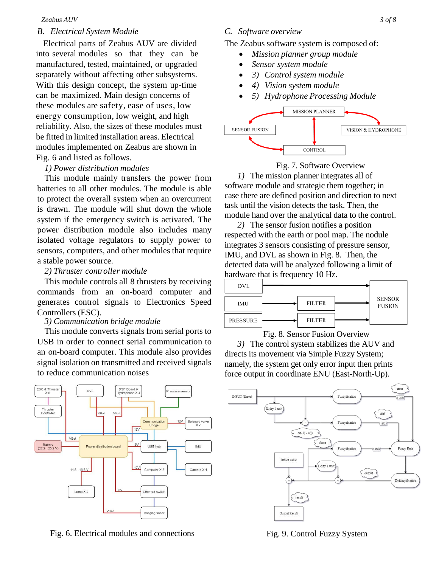#### *Zeabus AUV 3 of 8*

#### *B. Electrical System Module*

Electrical parts of Zeabus AUV are divided into several modules so that they can be manufactured, tested, maintained, or upgraded separately without affecting other subsystems. With this design concept, the system up-time can be maximized. Main design concerns of these modules are safety, ease of uses, low energy consumption, low weight, and high reliability. Also, the sizes of these modules must be fitted in limited installation areas. Electrical modules implemented on Zeabus are shown in Fig. 6 and listed as follows.

#### *1) Power distribution modules*

This module mainly transfers the power from batteries to all other modules. The module is able to protect the overall system when an overcurrent is drawn. The module will shut down the whole system if the emergency switch is activated. The power distribution module also includes many isolated voltage regulators to supply power to sensors, computers, and other modules that require a stable power source.

#### *2) Thruster controller module*

This module controls all 8 thrusters by receiving commands from an on-board computer and generates control signals to Electronics Speed Controllers (ESC).

#### *3) Communication bridge module*

This module converts signals from serial ports to USB in order to connect serial communication to an on-board computer. This module also provides signal isolation on transmitted and received signals to reduce communication noises



Fig. 6. Electrical modules and connections

*C. Software overview*

The Zeabus software system is composed of:

- *Mission planner group module*
- *Sensor system module*
- *3) Control system module*
- *4) Vision system module*
- *5) Hydrophone Processing Module*





*1)* The mission planner integrates all of software module and strategic them together; in case there are defined position and direction to next task until the vision detects the task. Then, the module hand over the analytical data to the control.

*2)* The sensor fusion notifies a position respected with the earth or pool map. The nodule integrates 3 sensors consisting of pressure sensor, IMU, and DVL as shown in Fig. 8. Then, the detected data will be analyzed following a limit of hardware that is frequency 10 Hz.



Fig. 8. Sensor Fusion Overview

*3)* The control system stabilizes the AUV and directs its movement via Simple Fuzzy System; namely, the system get only error input then prints force output in coordinate ENU (East-North-Up).



Fig. 9. Control Fuzzy System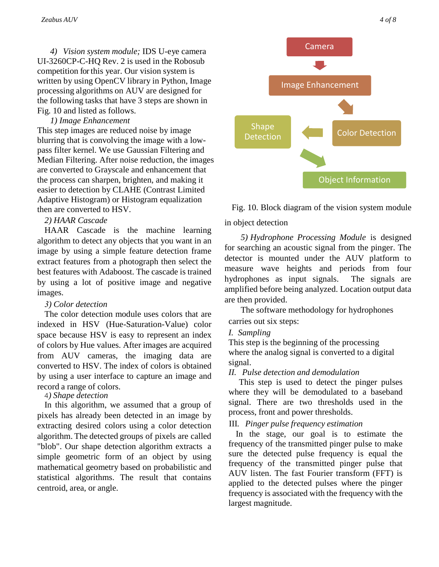*4) Vision system module;* IDS U-eye camera UI-3260CP-C-HQ Rev. 2 is used in the Robosub competition for this year. Our vision system is written by using OpenCV library in Python, Image processing algorithms on AUV are designed for the following tasks that have 3 steps are shown in Fig. 10 and listed as follows.

## *1) Image Enhancement*

This step images are reduced noise by image blurring that is convolving the image with a lowpass filter kernel. We use Gaussian Filtering and Median Filtering. After noise reduction, the images are converted to Grayscale and enhancement that the process can sharpen, brighten, and making it easier to detection by CLAHE (Contrast Limited Adaptive Histogram) or Histogram equalization then are converted to HSV.

## *2) HAAR Cascade*

HAAR Cascade is the machine learning algorithm to detect any objects that you want in an image by using a simple feature detection frame extract features from a photograph then select the best features with Adaboost. The cascade is trained by using a lot of positive image and negative images.

## *3) Color detection*

The color detection module uses colors that are indexed in HSV (Hue-Saturation-Value) color space because HSV is easy to represent an index of colors by Hue values. After images are acquired from AUV cameras, the imaging data are converted to HSV. The index of colors is obtained by using a user interface to capture an image and record a range of colors.

## 4*) Shape detection*

In this algorithm, we assumed that a group of pixels has already been detected in an image by extracting desired colors using a color detection algorithm. The detected groups of pixels are called "blob". Our shape detection algorithm extracts a simple geometric form of an object by using mathematical geometry based on probabilistic and statistical algorithms. The result that contains centroid, area, or angle.



Fig. 10. Block diagram of the vision system module in object detection

*5) Hydrophone Processing Module* is designed for searching an acoustic signal from the pinger. The detector is mounted under the AUV platform to measure wave heights and periods from four hydrophones as input signals. The signals are amplified before being analyzed. Location output data are then provided.

The software methodology for hydrophones carries out six steps:

## *I. Sampling*

This step is the beginning of the processing where the analog signal is converted to a digital signal.

## *II. Pulse detection and demodulation*

This step is used to detect the pinger pulses where they will be demodulated to a baseband signal. There are two thresholds used in the process, front and power thresholds.

III*. Pinger pulse frequency estimation*

In the stage, our goal is to estimate the frequency of the transmitted pinger pulse to make sure the detected pulse frequency is equal the frequency of the transmitted pinger pulse that AUV listen. The fast Fourier transform (FFT) is applied to the detected pulses where the pinger frequency is associated with the frequency with the largest magnitude.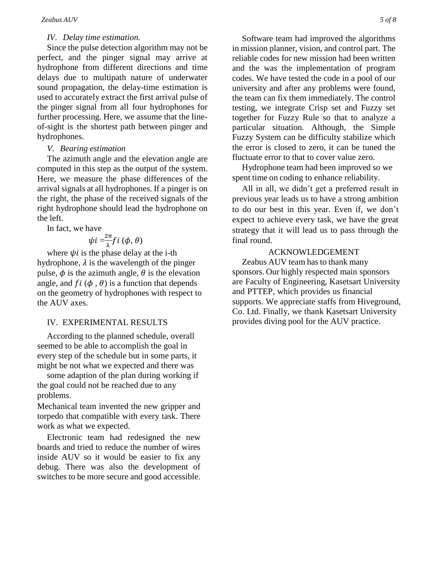#### *IV. Delay time estimation.*

Since the pulse detection algorithm may not be perfect, and the pinger signal may arrive at hydrophone from different directions and time delays due to multipath nature of underwater sound propagation, the delay-time estimation is used to accurately extract the first arrival pulse of the pinger signal from all four hydrophones for further processing. Here, we assume that the lineof-sight is the shortest path between pinger and hydrophones.

#### *V. Bearing estimation*

The azimuth angle and the elevation angle are computed in this step as the output of the system. Here, we measure the phase differences of the arrival signals at all hydrophones. If a pinger is on the right, the phase of the received signals of the right hydrophone should lead the hydrophone on the left.

In fact, we have

$$
\psi i = \frac{2\pi}{\lambda} f i \left( \phi, \theta \right)
$$

where  $\psi$ *i* is the phase delay at the i-th hydrophone,  $\lambda$  is the wavelength of the pinger pulse,  $\phi$  is the azimuth angle,  $\theta$  is the elevation angle, and  $f \circ (\phi, \theta)$  is a function that depends on the geometry of hydrophones with respect to the AUV axes.

#### IV. EXPERIMENTAL RESULTS

According to the planned schedule, overall seemed to be able to accomplish the goal in every step of the schedule but in some parts, it might be not what we expected and there was

some adaption of the plan during working if the goal could not be reached due to any problems.

Mechanical team invented the new gripper and torpedo that compatible with every task. There work as what we expected.

Electronic team had redesigned the new boards and tried to reduce the number of wires inside AUV so it would be easier to fix any debug. There was also the development of switches to be more secure and good accessible.

Software team had improved the algorithms in mission planner, vision, and control part. The reliable codes for new mission had been written and the was the implementation of program codes. We have tested the code in a pool of our university and after any problems were found, the team can fix them immediately. The control testing, we integrate Crisp set and Fuzzy set together for Fuzzy Rule so that to analyze a particular situation. Although, the Simple Fuzzy System can be difficulty stabilize which the error is closed to zero, it can be tuned the fluctuate error to that to cover value zero.

Hydrophone team had been improved so we spent time on coding to enhance reliability.

All in all, we didn't get a preferred result in previous year leads us to have a strong ambition to do our best in this year. Even if, we don't expect to achieve every task, we have the great strategy that it will lead us to pass through the final round.

# ACKNOWLEDGEMENT

Zeabus AUV team has to thank many sponsors. Our highly respected main sponsors are Faculty of Engineering, Kasetsart University and PTTEP, which provides us financial supports. We appreciate staffs from Hiveground, Co. Ltd. Finally, we thank Kasetsart University provides diving pool for the AUV practice.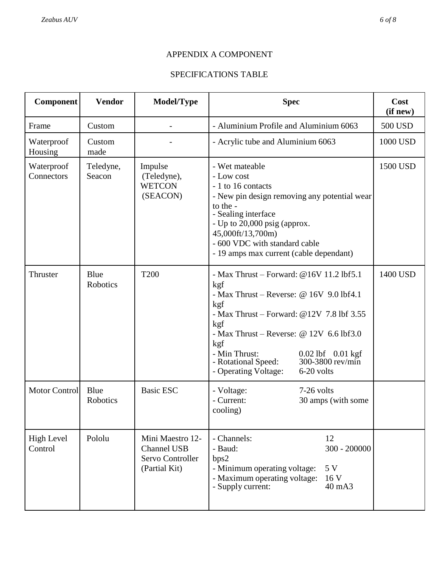# APPENDIX A COMPONENT

# SPECIFICATIONS TABLE

| Component                    | <b>Vendor</b>       | Model/Type                                                                  | <b>Spec</b>                                                                                                                                                                                                                                                                                                                            | Cost<br>(if new) |
|------------------------------|---------------------|-----------------------------------------------------------------------------|----------------------------------------------------------------------------------------------------------------------------------------------------------------------------------------------------------------------------------------------------------------------------------------------------------------------------------------|------------------|
| Frame                        | Custom              |                                                                             | - Aluminium Profile and Aluminium 6063                                                                                                                                                                                                                                                                                                 | 500 USD          |
| Waterproof<br>Housing        | Custom<br>made      |                                                                             | - Acrylic tube and Aluminium 6063                                                                                                                                                                                                                                                                                                      | 1000 USD         |
| Waterproof<br>Connectors     | Teledyne,<br>Seacon | Impulse<br>(Teledyne),<br><b>WETCON</b><br>(SEACON)                         | - Wet mateable<br>- Low cost<br>- 1 to 16 contacts<br>- New pin design removing any potential wear<br>to the -<br>- Sealing interface<br>- Up to 20,000 psig (approx.<br>45,000ft/13,700m)<br>- 600 VDC with standard cable<br>- 19 amps max current (cable dependant)                                                                 | 1500 USD         |
| Thruster                     | Blue<br>Robotics    | <b>T200</b>                                                                 | - Max Thrust - Forward: $@16V11.21bf5.1$<br>kgf<br>- Max Thrust – Reverse: $@ 16V 9.0 lbf4.1$<br>kgf<br>- Max Thrust – Forward: $@12V$ 7.8 lbf 3.55<br>kgf<br>- Max Thrust – Reverse: $@ 12V 6.6 lbf3.0$<br>kgf<br>- Min Thrust:<br>0.02 lbf 0.01 kgf<br>300-3800 rev/min<br>- Rotational Speed:<br>- Operating Voltage:<br>6-20 volts | 1400 USD         |
| <b>Motor Control</b>         | Blue<br>Robotics    | <b>Basic ESC</b>                                                            | 7-26 volts<br>- Voltage:<br>- Current:<br>30 amps (with some<br>cooling)                                                                                                                                                                                                                                                               |                  |
| <b>High Level</b><br>Control | Pololu              | Mini Maestro 12-<br><b>Channel USB</b><br>Servo Controller<br>(Partial Kit) | - Channels:<br>12<br>300 - 200000<br>- Baud:<br>bps2<br>5 V<br>- Minimum operating voltage:<br>- Maximum operating voltage:<br>16 V<br>- Supply current:<br>40 mA3                                                                                                                                                                     |                  |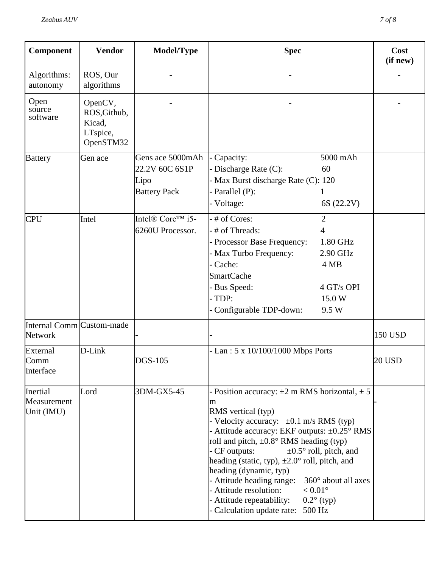| Component                                   | <b>Vendor</b>                                              | Model/Type                                                        | <b>Spec</b>                                                                                                                                                                                                                                                                                                                                                                                                                                                                                                                                                                |                                                                                      | Cost<br>(if new) |
|---------------------------------------------|------------------------------------------------------------|-------------------------------------------------------------------|----------------------------------------------------------------------------------------------------------------------------------------------------------------------------------------------------------------------------------------------------------------------------------------------------------------------------------------------------------------------------------------------------------------------------------------------------------------------------------------------------------------------------------------------------------------------------|--------------------------------------------------------------------------------------|------------------|
| Algorithms:<br>autonomy                     | ROS, Our<br>algorithms                                     |                                                                   |                                                                                                                                                                                                                                                                                                                                                                                                                                                                                                                                                                            |                                                                                      |                  |
| Open<br>source<br>software                  | OpenCV,<br>ROS, Github,<br>Kicad,<br>LTspice,<br>OpenSTM32 |                                                                   |                                                                                                                                                                                                                                                                                                                                                                                                                                                                                                                                                                            |                                                                                      |                  |
| <b>Battery</b>                              | Gen ace                                                    | Gens ace 5000mAh<br>22.2V 60C 6S1P<br>Lipo<br><b>Battery Pack</b> | Capacity:<br>Discharge Rate (C):<br>Max Burst discharge Rate (C): 120<br>Parallel (P):<br>Voltage:                                                                                                                                                                                                                                                                                                                                                                                                                                                                         | 5000 mAh<br>60<br>6S (22.2V)                                                         |                  |
| <b>CPU</b>                                  | Intel                                                      | Intel® Core™ i5-<br>6260U Processor.                              | # of Cores:<br># of Threads:<br>Processor Base Frequency:<br>Max Turbo Frequency:<br>Cache:<br><b>SmartCache</b><br><b>Bus Speed:</b><br>TDP:<br>Configurable TDP-down:                                                                                                                                                                                                                                                                                                                                                                                                    | $\overline{2}$<br>4<br>1.80 GHz<br>2.90 GHz<br>4 MB<br>4 GT/s OPI<br>15.0 W<br>9.5 W |                  |
| Internal Comm Custom-made<br><b>Network</b> |                                                            |                                                                   |                                                                                                                                                                                                                                                                                                                                                                                                                                                                                                                                                                            |                                                                                      | 150 USD          |
| External<br>Comm<br>Interface               | D-Link                                                     | <b>DGS-105</b>                                                    | $-Lan: 5 \times 10/100/1000$ Mbps Ports                                                                                                                                                                                                                                                                                                                                                                                                                                                                                                                                    |                                                                                      | 20 USD           |
| Inertial<br>Measurement<br>Unit (IMU)       | Lord                                                       | 3DM-GX5-45                                                        | - Position accuracy: $\pm 2$ m RMS horizontal, $\pm 5$<br>m<br>RMS vertical (typ)<br>- Velocity accuracy: $\pm 0.1$ m/s RMS (typ)<br>- Attitude accuracy: EKF outputs: ±0.25° RMS<br>roll and pitch, $\pm 0.8^{\circ}$ RMS heading (typ)<br>CF outputs:<br>$\pm 0.5^{\circ}$ roll, pitch, and<br>heading (static, typ), $\pm 2.0^{\circ}$ roll, pitch, and<br>heading (dynamic, typ)<br>Attitude heading range:<br>360° about all axes<br>Attitude resolution:<br>$< 0.01^{\circ}$<br>Attitude repeatability:<br>$0.2^{\circ}$ (typ)<br>Calculation update rate:<br>500 Hz |                                                                                      |                  |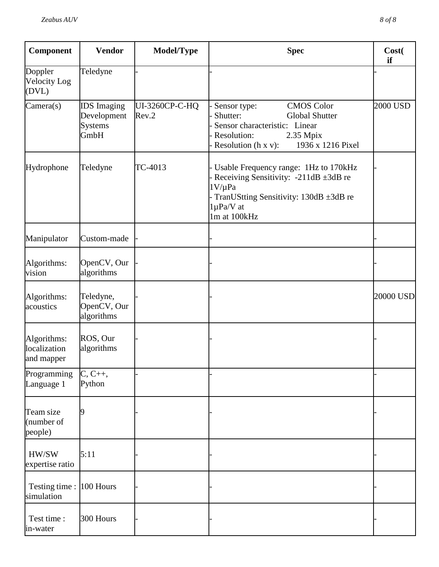| Component                                 | <b>Vendor</b>                                               | Model/Type              | <b>Spec</b>                                                                                                                                                                        | Cost(<br>if |
|-------------------------------------------|-------------------------------------------------------------|-------------------------|------------------------------------------------------------------------------------------------------------------------------------------------------------------------------------|-------------|
| Doppler<br><b>Velocity Log</b><br>(DVL)   | Teledyne                                                    |                         |                                                                                                                                                                                    |             |
| Camera(s)                                 | <b>IDS</b> Imaging<br>Development<br><b>Systems</b><br>GmbH | UI-3260CP-C-HQ<br>Rev.2 | <b>CMOS Color</b><br>Sensor type:<br>Shutter:<br><b>Global Shutter</b><br>Sensor characteristic: Linear<br>Resolution:<br>2.35 Mpix<br>Resolution $(h x v)$ :<br>1936 x 1216 Pixel | 2000 USD    |
| Hydrophone                                | Teledyne                                                    | TC-4013                 | Usable Frequency range: 1Hz to 170kHz<br>- Receiving Sensitivity: -211dB ±3dB re<br>$1V/\mu Pa$<br>TranUStting Sensitivity: 130dB ±3dB re<br>1µPa/V at<br>1m at 100kHz             |             |
| Manipulator                               | Custom-made                                                 |                         |                                                                                                                                                                                    |             |
| Algorithms:<br>vision                     | OpenCV, Our<br>algorithms                                   |                         |                                                                                                                                                                                    |             |
| Algorithms:<br>acoustics                  | Teledyne,<br>OpenCV, Our<br>algorithms                      |                         |                                                                                                                                                                                    | 20000 USD   |
| Algorithms:<br>localization<br>and mapper | ROS, Our<br>algorithms                                      |                         |                                                                                                                                                                                    |             |
| Programming<br>Language 1                 | $C, C++,$<br>Python                                         |                         |                                                                                                                                                                                    |             |
| Team size<br>(number of<br>people)        | 19                                                          |                         |                                                                                                                                                                                    |             |
| HW/SW<br>expertise ratio                  | 5:11                                                        |                         |                                                                                                                                                                                    |             |
| Testing time :  100 Hours<br>simulation   |                                                             |                         |                                                                                                                                                                                    |             |
| Test time:<br>in-water                    | 300 Hours                                                   |                         |                                                                                                                                                                                    |             |